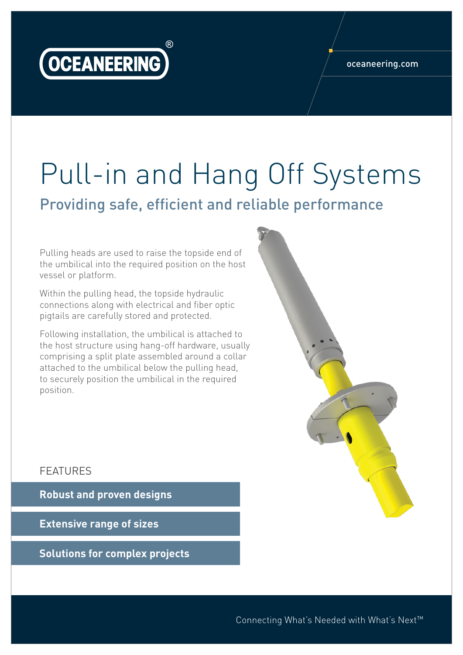

## oceaneering.com

## Pull-in and Hang Off Systems

Providing safe, efficient and reliable performance

Pulling heads are used to raise the topside end of the umbilical into the required position on the host vessel or platform.

Within the pulling head, the topside hydraulic connections along with electrical and fiber optic pigtails are carefully stored and protected.

Following installation, the umbilical is attached to the host structure using hang-off hardware, usually comprising a split plate assembled around a collar attached to the umbilical below the pulling head, to securely position the umbilical in the required position.



## FEATURES

**Robust and proven designs**

**Extensive range of sizes**

**Solutions for complex projects**

Connecting What's Needed with What's Next™